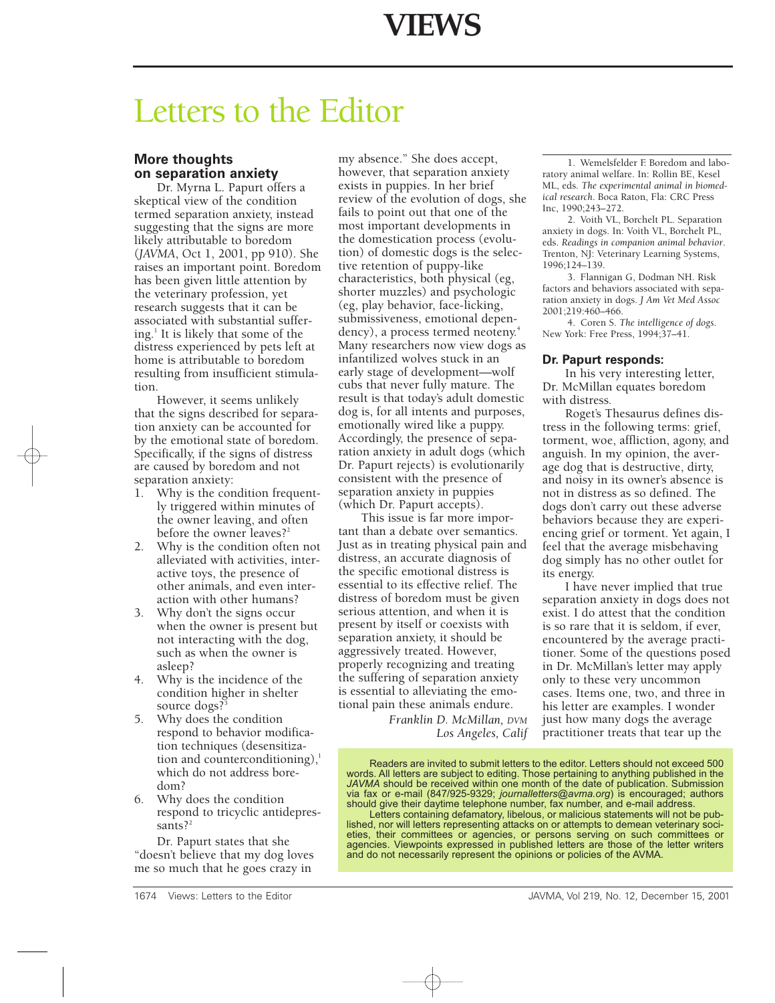# Letters to the Editor

## **More thoughts on separation anxiety**

Dr. Myrna L. Papurt offers a skeptical view of the condition termed separation anxiety, instead suggesting that the signs are more likely attributable to boredom (*JAVMA*, Oct 1, 2001, pp 910). She raises an important point. Boredom has been given little attention by the veterinary profession, yet research suggests that it can be associated with substantial suffering. $\frac{1}{1}$  It is likely that some of the distress experienced by pets left at home is attributable to boredom resulting from insufficient stimulation.

However, it seems unlikely that the signs described for separation anxiety can be accounted for by the emotional state of boredom. Specifically, if the signs of distress are caused by boredom and not separation anxiety:

- 1. Why is the condition frequently triggered within minutes of the owner leaving, and often before the owner leaves?<sup>2</sup>
- 2. Why is the condition often not alleviated with activities, interactive toys, the presence of other animals, and even interaction with other humans?
- 3. Why don't the signs occur when the owner is present but not interacting with the dog, such as when the owner is asleep?
- 4. Why is the incidence of the condition higher in shelter source dogs?
- 5. Why does the condition respond to behavior modification techniques (desensitization and counterconditioning), $\frac{1}{2}$ which do not address boredom?
- 6. Why does the condition respond to tricyclic antidepressants? $2^2$

Dr. Papurt states that she "doesn't believe that my dog loves me so much that he goes crazy in

my absence." She does accept, however, that separation anxiety exists in puppies. In her brief review of the evolution of dogs, she fails to point out that one of the most important developments in the domestication process (evolution) of domestic dogs is the selective retention of puppy-like characteristics, both physical (eg, shorter muzzles) and psychologic (eg, play behavior, face-licking, submissiveness, emotional dependency), a process termed neoteny.<sup>4</sup> Many researchers now view dogs as infantilized wolves stuck in an early stage of development—wolf cubs that never fully mature. The result is that today's adult domestic dog is, for all intents and purposes, emotionally wired like a puppy. Accordingly, the presence of separation anxiety in adult dogs (which Dr. Papurt rejects) is evolutionarily consistent with the presence of separation anxiety in puppies (which Dr. Papurt accepts).

This issue is far more important than a debate over semantics. Just as in treating physical pain and distress, an accurate diagnosis of the specific emotional distress is essential to its effective relief. The distress of boredom must be given serious attention, and when it is present by itself or coexists with separation anxiety, it should be aggressively treated. However, properly recognizing and treating the suffering of separation anxiety is essential to alleviating the emotional pain these animals endure.

> *Franklin D. McMillan, DVM Los Angeles, Calif*

1. Wemelsfelder F. Boredom and laboratory animal welfare. In: Rollin BE, Kesel ML, eds. *The experimental animal in biomedical research*. Boca Raton, Fla: CRC Press Inc, 1990;243–272.

2. Voith VL, Borchelt PL. Separation anxiety in dogs. In: Voith VL, Borchelt PL, eds. *Readings in companion animal behavior*. Trenton, NJ: Veterinary Learning Systems, 1996;124–139.

3. Flannigan G, Dodman NH. Risk factors and behaviors associated with separation anxiety in dogs. *J Am Vet Med Assoc* 2001;219:460–466.

4. Coren S. *The intelligence of dogs*. New York: Free Press, 1994;37–41.

#### **Dr. Papurt responds:**

In his very interesting letter, Dr. McMillan equates boredom with distress*.*

Roget's Thesaurus defines distress in the following terms: grief, torment, woe, affliction, agony, and anguish. In my opinion, the average dog that is destructive, dirty, and noisy in its owner's absence is not in distress as so defined. The dogs don't carry out these adverse behaviors because they are experiencing grief or torment. Yet again, I feel that the average misbehaving dog simply has no other outlet for its energy.

I have never implied that true separation anxiety in dogs does not exist. I do attest that the condition is so rare that it is seldom, if ever, encountered by the average practitioner. Some of the questions posed in Dr. McMillan's letter may apply only to these very uncommon cases. Items one, two, and three in his letter are examples. I wonder just how many dogs the average practitioner treats that tear up the

Readers are invited to submit letters to the editor. Letters should not exceed 500 words. All letters are subject to editing. Those pertaining to anything published in the JAVMA should be received within one month of the date of publication. Submission via fax or e-mail (847/925-9329; journalletters@avma.org) is encouraged; authors should give their daytime telephone number, fax number, and e-mail address

Letters containing defamatory, libelous, or malicious statements will not be published, nor will letters representing attacks on or attempts to demean veterinary societies, their committees or agencies, or persons serving on such committees or agencies. Viewpoints expressed in published letters are those of the letter writers and do not necessarily represent the opinions or policies of the AVMA.